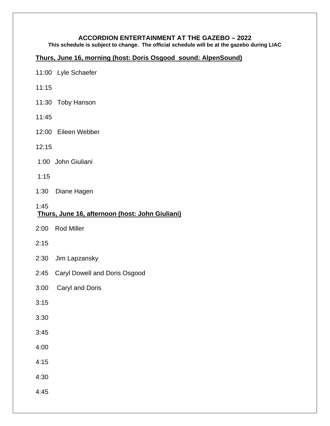#### **ACCORDION ENTERTAINMENT AT THE GAZEBO – 2022**

**This schedule is subject to change. The official schedule will be at the gazebo during LIAC**

#### **Thurs, June 16, morning (host: Doris Osgood sound: AlpenSound)**

- 11:00 Lyle Schaefer
- 11:15
- 11:30 Toby Hanson
- 11:45
- 12:00 Eileen Webber
- 12:15
- 1:00 John Giuliani
- 1:15
- 1:30 Diane Hagen

#### 1:45 **Thurs, June 16, afternoon (host: John Giuliani)**

- 2:00 Rod Miller
- 2:15
- 2:30 Jim Lapzansky
- 2:45 Caryl Dowell and Doris Osgood
- 3:00 Caryl and Doris
- 3:15
- 3:30
- 3:45
- 4:00
- 4:15
- 4:30
- 4:45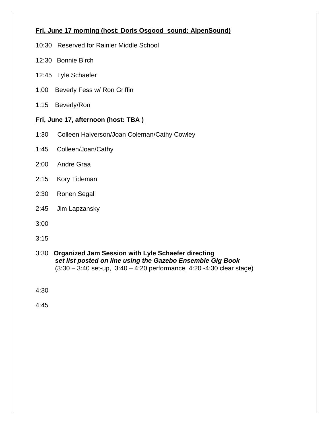### **Fri, June 17 morning (host: Doris Osgood sound: AlpenSound)**

- 10:30 Reserved for Rainier Middle School
- 12:30 Bonnie Birch
- 12:45 Lyle Schaefer
- 1:00 Beverly Fess w/ Ron Griffin
- 1:15 Beverly/Ron

#### **Fri, June 17, afternoon (host: TBA )**

- 1:30 Colleen Halverson/Joan Coleman/Cathy Cowley
- 1:45 Colleen/Joan/Cathy
- 2:00 Andre Graa
- 2:15 Kory Tideman
- 2:30 Ronen Segall
- 2:45 Jim Lapzansky
- 3:00
- 3:15
- 3:30 **Organized Jam Session with Lyle Schaefer directing** *set list posted on line using the Gazebo Ensemble Gig Book* (3:30 – 3:40 set-up, 3:40 – 4:20 performance, 4:20 -4:30 clear stage)

4:30

4:45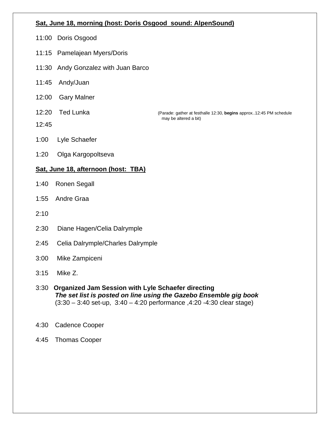#### **Sat, June 18, morning (host: Doris Osgood sound: AlpenSound)**

- 11:00 Doris Osgood
- 11:15 Pamelajean Myers/Doris
- 11:30 Andy Gonzalez with Juan Barco
- 11:45 Andy/Juan
- 12:00 Gary Malner
- 

12:45

12:20 Ted Lunka (Parade: gather at festhalle 12:30, **begins** approx..12:45 PM schedule may be altered a bit)

- 1:00 Lyle Schaefer
- 1:20 Olga Kargopoltseva

### **Sat, June 18, afternoon (host: TBA)**

- 1:40 Ronen Segall
- 1:55 Andre Graa
- 2:10
- 2:30 Diane Hagen/Celia Dalrymple
- 2:45 Celia Dalrymple/Charles Dalrymple
- 3:00 Mike Zampiceni
- 3:15 Mike Z.
- 3:30 **Organized Jam Session with Lyle Schaefer directing** *The set list is posted on line using the Gazebo Ensemble gig book* (3:30 – 3:40 set-up, 3:40 – 4:20 performance ,4:20 -4:30 clear stage)
- 4:30 Cadence Cooper
- 4:45 Thomas Cooper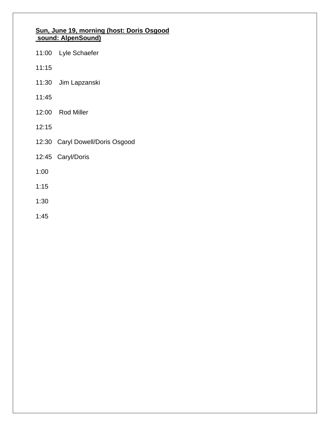#### **Sun, June 19, morning (host: Doris Osgood sound: AlpenSound)**

- 11:00 Lyle Schaefer
- 11:15
- 11:30 Jim Lapzanski
- 11:45
- 12:00 Rod Miller
- 12:15
- 12:30 Caryl Dowell/Doris Osgood
- 12:45 Caryl/Doris
- 1:00
- 1:15
- 1:30
- 1:45